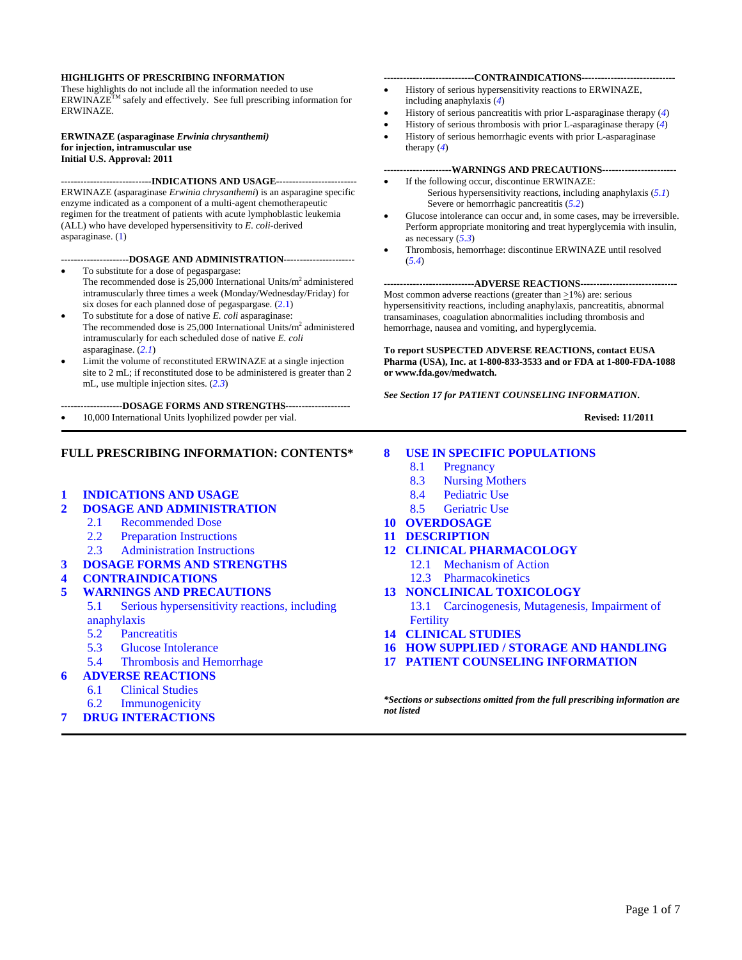#### **HIGHLIGHTS OF PRESCRIBING INFORMATION**

These highlights do not include all the information needed to use ERWINAZE<sup>TM</sup> safely and effectively. See full prescribing information for ERWINAZE.

#### **ERWINAZE (asparaginase** *Erwinia chrysanthemi)* **for injection, intramuscular use Initial U.S. Approval: 2011**

**----------------------------INDICATIONS AND USAGE-------------------------** ERWINAZE (asparaginase *Erwinia chrysanthemi*) is an asparagine specific enzyme indicated as a component of a multi-agent chemotherapeutic regimen for the treatment of patients with acute lymphoblastic leukemia (ALL) who have developed hypersensitivity to *E. coli*-derived asparaginase. ([1\)](#page-1-0)

#### **---------------------DOSAGE AND ADMINISTRATION----------------------**

- To substitute for a dose of pegaspargase: The recommended dose is  $25,000$  International Units/ $m<sup>2</sup>$  administered intramuscularly three times a week (Monday/Wednesday/Friday) for six doses for each planned dose of pegaspargase.  $(2.1)$  $(2.1)$
- To substitute for a dose of native *E. coli* asparaginase: The recommended dose is  $25,000$  International Units/ $m<sup>2</sup>$  administered intramuscularly for each scheduled dose of native *E. coli*  asparaginase. (*[2.1](#page-1-1)*)
- Limit the volume of reconstituted ERWINAZE at a single injection site to 2 mL; if reconstituted dose to be administered is greater than 2 mL, use multiple injection sites. (*[2.3](#page-1-1)*)

**-------------------DOSAGE FORMS AND STRENGTHS--------------------** 

• 10,000 International Units lyophilized powder per vial.

#### **FULL PRESCRIBING INFORMATION: CONTENTS\***

- **1 [INDICATIONS AND USAGE](#page-1-1)**
- **2 [DOSAGE AND ADMINISTRATION](#page-1-1)**
	- 2.1 [Recommended Dose](#page-1-1)
	- 2.2 [Preparation Instructions](#page-1-1)
	- 2.3 [Administration Instructions](#page-1-1)
- **3 [DOSAGE FORMS AND STRENGTHS](#page-1-1)**
- **4 [CONTRAINDICATIONS](#page-1-1)**
- **5 [WARNINGS AND PRECAUTIONS](#page-2-0)**
	- 5.1 [Serious hypersensitivity reactions, including](#page-2-0)  [anaphylaxis](#page-2-0)
	- 5.2 [Pancreatitis](#page-2-0)
	- 5.3 [Glucose Intolerance](#page-2-0)
	- 5.4 [Thrombosis and Hemorrhage](#page-2-0)
- **6 [ADVERSE REACTIONS](#page-2-0)**
	- 6.1 [Clinical Studies](#page-2-0)
	- 6.2 [Immunogenicity](#page-4-0)
- **7 [DRUG INTERACTIONS](#page-4-0)**

#### **----------------------------CONTRAINDICATIONS-----------------------------**

- History of serious hypersensitivity reactions to ERWINAZE, including anaphylaxis (*[4](#page-1-1)*)
- History of serious pancreatitis with prior L-asparaginase therapy (*[4](#page-1-1)*)
- History of serious thrombosis with prior L-asparaginase therapy (*[4](#page-1-1)*)
- History of serious hemorrhagic events with prior L-asparaginase therapy (*[4](#page-1-1)*)

# **---------------------WARNINGS AND PRECAUTIONS-----------------------**

- If the following occur, discontinue ERWINAZE: Serious hypersensitivity reactions, including anaphylaxis (*[5.1](#page-2-0)*) Severe or hemorrhagic pancreatitis (*[5.2](#page-2-0)*)
- Glucose intolerance can occur and, in some cases, may be irreversible. Perform appropriate monitoring and treat hyperglycemia with insulin, as necessary (*[5.3](#page-2-0)*)
- Thrombosis, hemorrhage: discontinue ERWINAZE until resolved (*[5.4](#page-2-0)*)

#### **----------------------------ADVERSE REACTIONS------------------------------**

Most common adverse reactions (greater than  $\geq$ 1%) are: serious hypersensitivity reactions, including anaphylaxis, pancreatitis, abnormal transaminases, coagulation abnormalities including thrombosis and hemorrhage, nausea and vomiting, and hyperglycemia.

**To report SUSPECTED ADVERSE REACTIONS, contact EUSA Pharma (USA), Inc. at 1-800-833-3533 and or FDA at 1-800-FDA-1088 or www.fda.gov/medwatch.** 

*[See Section 17 for PATIENT COUNSELING INFORMATION](#page-6-0)***.** 

 **Revised: 11/2011** 

#### **8 [USE IN SPECIFIC POPULATIONS](#page-4-0)**

- 8.1 [Pregnancy](#page-4-0)
- 8.3 [Nursing Mothers](#page-4-0)
- 8.4 [Pediatric Use](#page-4-0)
- 8.5 [Geriatric Use](#page-4-0)
- **10 [OVERDOSAGE](#page-4-0)**
- **11 [DESCRIPTION](#page-4-0)**
- **12 [CLINICAL PHARMACOLOGY](#page-4-0)**
	- 12.1 [Mechanism of Action](#page-4-0)
		- 12.3 [Pharmacokinetics](#page-5-0)
- **13 [NONCLINICAL TOXICOLOGY](#page-5-0)**

13.1 [Carcinogenesis, Mutagenesis, Impairment of](#page-5-0)  **[Fertility](#page-5-0)** 

- **14 [CLINICAL STUDIES](#page-5-0)**
- **16 [HOW SUPPLIED / STORAGE AND HANDLING](#page-5-0)**
- **17 [PATIENT COUNSELING INFORMATION](#page-6-0)**

*\*Sections or subsections omitted from the full prescribing information are not listed*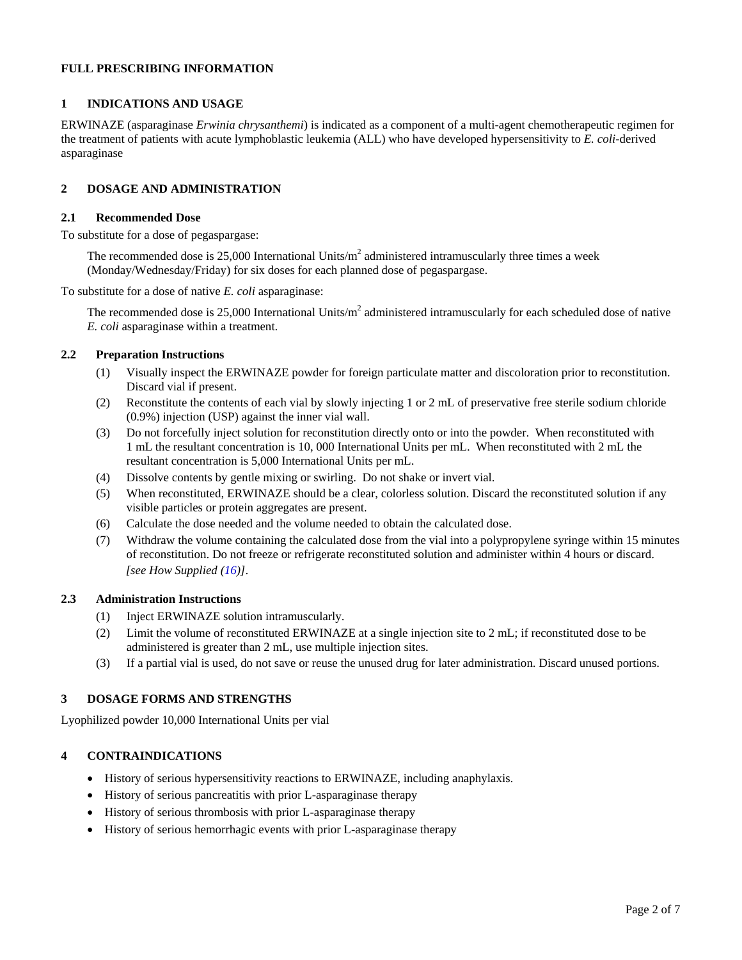# <span id="page-1-1"></span>**FULL PRESCRIBING INFORMATION**

# <span id="page-1-0"></span>**1 INDICATIONS AND USAGE**

ERWINAZE (asparaginase *Erwinia chrysanthemi*) is indicated as a component of a multi-agent chemotherapeutic regimen for the treatment of patients with acute lymphoblastic leukemia (ALL) who have developed hypersensitivity to *E. coli-*derived asparaginase

# **2 DOSAGE AND ADMINISTRATION**

#### **2.1 Recommended Dose**

To substitute for a dose of pegaspargase:

The recommended dose is 25,000 International Units/ $m^2$  administered intramuscularly three times a week (Monday/Wednesday/Friday) for six doses for each planned dose of pegaspargase.

To substitute for a dose of native *E. coli* asparaginase:

The recommended dose is 25,000 International Units/ $m^2$  administered intramuscularly for each scheduled dose of native *E. coli* asparaginase within a treatment.

# **2.2 Preparation Instructions**

- (1) Visually inspect the ERWINAZE powder for foreign particulate matter and discoloration prior to reconstitution. Discard vial if present.
- (2) Reconstitute the contents of each vial by slowly injecting 1 or 2 mL of preservative free sterile sodium chloride (0.9%) injection (USP) against the inner vial wall.
- (3) Do not forcefully inject solution for reconstitution directly onto or into the powder. When reconstituted with 1 mL the resultant concentration is 10, 000 International Units per mL. When reconstituted with 2 mL the resultant concentration is 5,000 International Units per mL.
- (4) Dissolve contents by gentle mixing or swirling. Do not shake or invert vial.
- (5) When reconstituted, ERWINAZE should be a clear, colorless solution. Discard the reconstituted solution if any visible particles or protein aggregates are present.
- (6) Calculate the dose needed and the volume needed to obtain the calculated dose.
- (7) Withdraw the volume containing the calculated dose from the vial into a polypropylene syringe within 15 minutes of reconstitution. Do not freeze or refrigerate reconstituted solution and administer within 4 hours or discard. *[see How Supplied (16)]*.

# **2.3 Administration Instructions**

- (1) Inject ERWINAZE solution intramuscularly.
- (2) Limit the volume of reconstituted ERWINAZE at a single injection site to 2 mL; if reconstituted dose to be administered is greater than 2 mL, use multiple injection sites.
- (3) If a partial vial is used, do not save or reuse the unused drug for later administration. Discard unused portions.

# **3 DOSAGE FORMS AND STRENGTHS**

Lyophilized powder 10,000 International Units per vial

# **4 CONTRAINDICATIONS**

- History of serious hypersensitivity reactions to ERWINAZE, including anaphylaxis.
- History of serious pancreatitis with prior L-asparaginase therapy
- History of serious thrombosis with prior L-asparaginase therapy
- History of serious hemorrhagic events with prior L-asparaginase therapy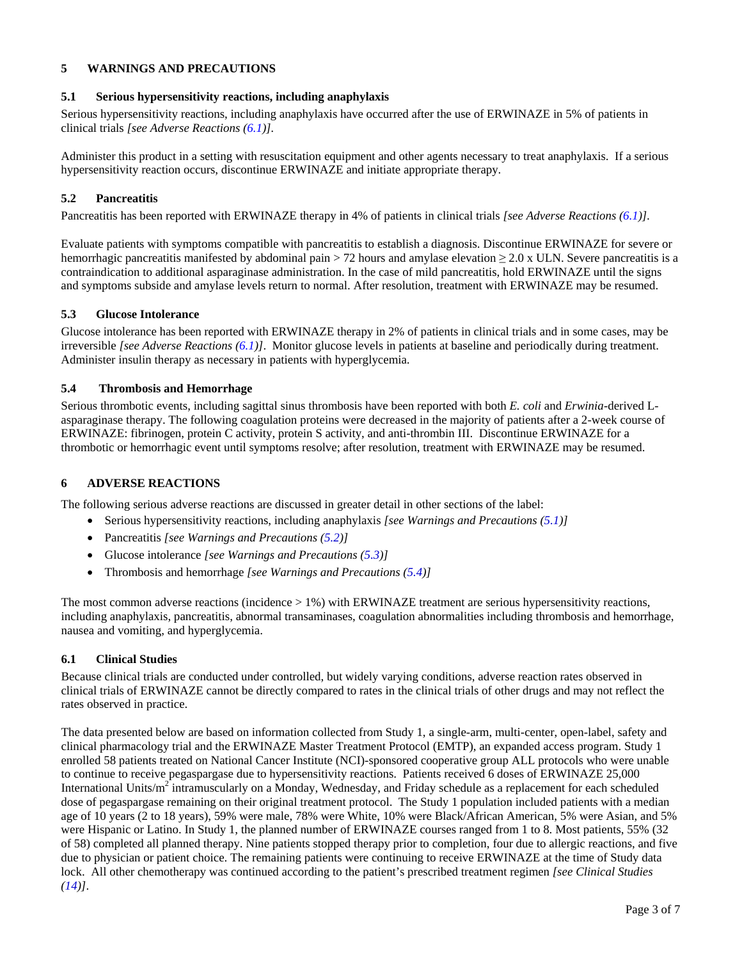# <span id="page-2-0"></span>**5 WARNINGS AND PRECAUTIONS**

# <span id="page-2-2"></span>**5.1 Serious hypersensitivity reactions, including anaphylaxis**

Serious hypersensitivity reactions, including anaphylaxis have occurred after the use of ERWINAZE in 5% of patients in clinical trials *[see Adverse Reactions [\(6.1\)](#page-2-1)].* 

Administer this product in a setting with resuscitation equipment and other agents necessary to treat anaphylaxis. If a serious hypersensitivity reaction occurs, discontinue ERWINAZE and initiate appropriate therapy.

### <span id="page-2-3"></span>**5.2 Pancreatitis**

Pancreatitis has been reported with ERWINAZE therapy in 4% of patients in clinical trials *[see Adverse Reactions [\(6.1\)](#page-2-1)].* 

Evaluate patients with symptoms compatible with pancreatitis to establish a diagnosis. Discontinue ERWINAZE for severe or hemorrhagic pancreatitis manifested by abdominal pain > 72 hours and amylase elevation  $\geq 2.0$  x ULN. Severe pancreatitis is a contraindication to additional asparaginase administration. In the case of mild pancreatitis, hold ERWINAZE until the signs and symptoms subside and amylase levels return to normal. After resolution, treatment with ERWINAZE may be resumed.

### <span id="page-2-4"></span>**5.3 Glucose Intolerance**

Glucose intolerance has been reported with ERWINAZE therapy in 2% of patients in clinical trials and in some cases, may be irreversible *[see Adverse Reactions ([6.1](#page-2-1))]*.Monitor glucose levels in patients at baseline and periodically during treatment. Administer insulin therapy as necessary in patients with hyperglycemia.

# <span id="page-2-5"></span>**5.4 Thrombosis and Hemorrhage**

Serious thrombotic events, including sagittal sinus thrombosis have been reported with both *E. coli* and *Erwinia*-derived Lasparaginase therapy. The following coagulation proteins were decreased in the majority of patients after a 2-week course of ERWINAZE: fibrinogen, protein C activity, protein S activity, and anti-thrombin III. Discontinue ERWINAZE for a thrombotic or hemorrhagic event until symptoms resolve; after resolution, treatment with ERWINAZE may be resumed.

# <span id="page-2-6"></span>**6 ADVERSE REACTIONS**

The following serious adverse reactions are discussed in greater detail in other sections of the label:

- Serious hypersensitivity reactions, including anaphylaxis *[see Warnings and Precautions [\(5.1\)](#page-2-2)]*
- Pancreatitis *[see Warnings and Precautions ([5.2](#page-2-3))]*
- Glucose intolerance *[see Warnings and Precautions ([5.3](#page-2-4))]*
- Thrombosis and hemorrhage *[see Warnings and Precautions [\(5.4\)](#page-2-5)]*

The most common adverse reactions (incidence  $> 1\%$ ) with ERWINAZE treatment are serious hypersensitivity reactions, including anaphylaxis, pancreatitis, abnormal transaminases, coagulation abnormalities including thrombosis and hemorrhage, nausea and vomiting, and hyperglycemia.

# <span id="page-2-1"></span>**6.1 Clinical Studies**

Because clinical trials are conducted under controlled, but widely varying conditions, adverse reaction rates observed in clinical trials of ERWINAZE cannot be directly compared to rates in the clinical trials of other drugs and may not reflect the rates observed in practice.

The data presented below are based on information collected from Study 1, a single-arm, multi-center, open-label, safety and clinical pharmacology trial and the ERWINAZE Master Treatment Protocol (EMTP), an expanded access program. Study 1 enrolled 58 patients treated on National Cancer Institute (NCI)-sponsored cooperative group ALL protocols who were unable to continue to receive pegaspargase due to hypersensitivity reactions. Patients received 6 doses of ERWINAZE 25,000 International Units/m<sup>2</sup> intramuscularly on a Monday, Wednesday, and Friday schedule as a replacement for each scheduled dose of pegaspargase remaining on their original treatment protocol. The Study 1 population included patients with a median age of 10 years (2 to 18 years), 59% were male, 78% were White, 10% were Black/African American, 5% were Asian, and 5% were Hispanic or Latino. In Study 1, the planned number of ERWINAZE courses ranged from 1 to 8. Most patients, 55% (32 of 58) completed all planned therapy. Nine patients stopped therapy prior to completion, four due to allergic reactions, and five due to physician or patient choice. The remaining patients were continuing to receive ERWINAZE at the time of Study data lock. All other chemotherapy was continued according to the patient's prescribed treatment regimen *[see Clinical Studies ([14\)](#page-5-1)]*.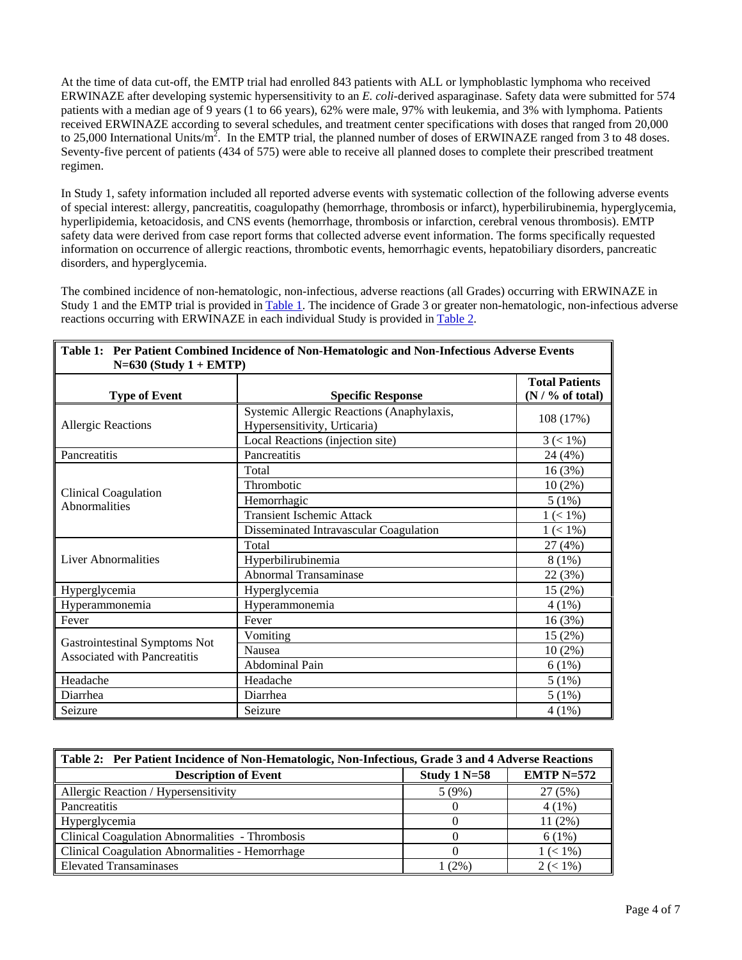At the time of data cut-off, the EMTP trial had enrolled 843 patients with ALL or lymphoblastic lymphoma who received ERWINAZE after developing systemic hypersensitivity to an *E. coli*-derived asparaginase. Safety data were submitted for 574 patients with a median age of 9 years (1 to 66 years), 62% were male, 97% with leukemia, and 3% with lymphoma. Patients received ERWINAZE according to several schedules, and treatment center specifications with doses that ranged from 20,000 to 25,000 International Units/m<sup>2</sup>. In the EMTP trial, the planned number of doses of ERWINAZE ranged from 3 to 48 doses. Seventy-five percent of patients (434 of 575) were able to receive all planned doses to complete their prescribed treatment regimen.

In Study 1, safety information included all reported adverse events with systematic collection of the following adverse events of special interest: allergy, pancreatitis, coagulopathy (hemorrhage, thrombosis or infarct), hyperbilirubinemia, hyperglycemia, hyperlipidemia, ketoacidosis, and CNS events (hemorrhage, thrombosis or infarction, cerebral venous thrombosis). EMTP safety data were derived from case report forms that collected adverse event information. The forms specifically requested information on occurrence of allergic reactions, thrombotic events, hemorrhagic events, hepatobiliary disorders, pancreatic disorders, and hyperglycemia.

The combined incidence of non-hematologic, non-infectious, adverse reactions (all Grades) occurring with ERWINAZE in Study 1 and the EMTP trial is provided in [Table 1.](#page-3-0) The incidence of Grade 3 or greater non-hematologic, non-infectious adverse reactions occurring with ERWINAZE in each individual Study is provided in [Table 2.](#page-3-1)

<span id="page-3-0"></span>

| Table 1: Per Patient Combined Incidence of Non-Hematologic and Non-Infectious Adverse Events |                                                                           |                                              |  |  |
|----------------------------------------------------------------------------------------------|---------------------------------------------------------------------------|----------------------------------------------|--|--|
| $N=630$ (Study 1 + EMTP)<br><b>Type of Event</b>                                             | <b>Specific Response</b>                                                  | <b>Total Patients</b><br>$(N / \%$ of total) |  |  |
| <b>Allergic Reactions</b>                                                                    | Systemic Allergic Reactions (Anaphylaxis,<br>Hypersensitivity, Urticaria) | 108 (17%)                                    |  |  |
|                                                                                              | Local Reactions (injection site)                                          | $3 (< 1\%)$                                  |  |  |
| Pancreatitis                                                                                 | Pancreatitis                                                              | 24 (4%)                                      |  |  |
| <b>Clinical Coagulation</b><br>Abnormalities                                                 | Total                                                                     | 16(3%)                                       |  |  |
|                                                                                              | Thrombotic                                                                | $10(2\%)$                                    |  |  |
|                                                                                              | Hemorrhagic                                                               | 5(1%)                                        |  |  |
|                                                                                              | <b>Transient Ischemic Attack</b>                                          | $1 (< 1\%)$                                  |  |  |
|                                                                                              | Disseminated Intravascular Coagulation                                    | $1 (< 1\%)$                                  |  |  |
| <b>Liver Abnormalities</b>                                                                   | Total                                                                     | 27 (4%)                                      |  |  |
|                                                                                              | Hyperbilirubinemia                                                        | $8(1\%)$                                     |  |  |
|                                                                                              | Abnormal Transaminase                                                     | 22 (3%)                                      |  |  |
| Hyperglycemia                                                                                | Hyperglycemia                                                             | 15(2%)                                       |  |  |
| Hyperammonemia                                                                               | Hyperammonemia                                                            | $4(1\%)$                                     |  |  |
| Fever                                                                                        | Fever                                                                     | 16(3%)                                       |  |  |
| Gastrointestinal Symptoms Not<br>Associated with Pancreatitis                                | Vomiting                                                                  | 15(2%)                                       |  |  |
|                                                                                              | Nausea                                                                    | $10(2\%)$                                    |  |  |
|                                                                                              | Abdominal Pain                                                            | 6(1%)                                        |  |  |
| Headache                                                                                     | Headache                                                                  | 5(1%)                                        |  |  |
| Diarrhea                                                                                     | Diarrhea                                                                  | 5(1%)                                        |  |  |
| Seizure                                                                                      | Seizure                                                                   | $4(1\%)$                                     |  |  |

<span id="page-3-1"></span>

| Table 2: Per Patient Incidence of Non-Hematologic, Non-Infectious, Grade 3 and 4 Adverse Reactions |                |              |  |
|----------------------------------------------------------------------------------------------------|----------------|--------------|--|
| <b>Description of Event</b>                                                                        | Study $1 N=58$ | $EMTP$ N=572 |  |
| Allergic Reaction / Hypersensitivity                                                               | 5(9%)          | 27(5%)       |  |
| Pancreatitis                                                                                       |                | $4(1\%)$     |  |
| Hyperglycemia                                                                                      |                | $11(2\%)$    |  |
| Clinical Coagulation Abnormalities - Thrombosis                                                    |                | 6(1%)        |  |
| Clinical Coagulation Abnormalities - Hemorrhage                                                    |                | $1 (< 1\%)$  |  |
| <b>Elevated Transaminases</b>                                                                      | 1 (2%)         | $2 (< 1\%)$  |  |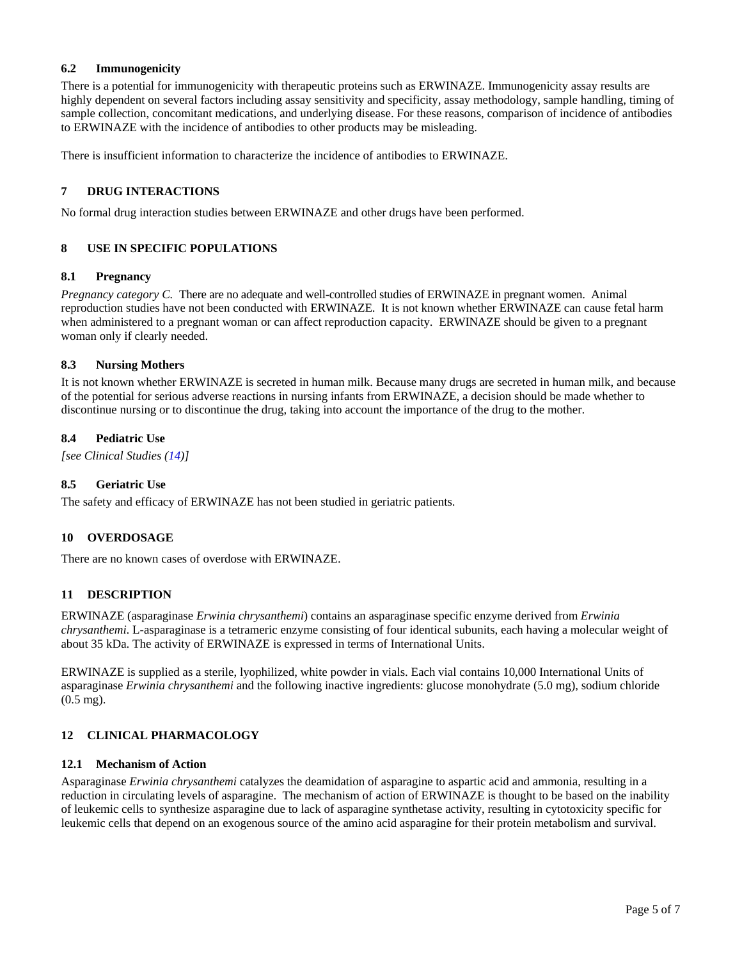# <span id="page-4-0"></span>**6.2 Immunogenicity**

There is a potential for immunogenicity with therapeutic proteins such as ERWINAZE. Immunogenicity assay results are highly dependent on several factors including assay sensitivity and specificity, assay methodology, sample handling, timing of sample collection, concomitant medications, and underlying disease. For these reasons, comparison of incidence of antibodies to ERWINAZE with the incidence of antibodies to other products may be misleading.

There is insufficient information to characterize the incidence of antibodies to ERWINAZE.

### **7 DRUG INTERACTIONS**

No formal drug interaction studies between ERWINAZE and other drugs have been performed.

# **8 USE IN SPECIFIC POPULATIONS**

#### **8.1 Pregnancy**

*Pregnancy category C.* There are no adequate and well-controlled studies of ERWINAZE in pregnant women. Animal reproduction studies have not been conducted with ERWINAZE. It is not known whether ERWINAZE can cause fetal harm when administered to a pregnant woman or can affect reproduction capacity. ERWINAZE should be given to a pregnant woman only if clearly needed.

#### **8.3 Nursing Mothers**

It is not known whether ERWINAZE is secreted in human milk. Because many drugs are secreted in human milk, and because of the potential for serious adverse reactions in nursing infants from ERWINAZE, a decision should be made whether to discontinue nursing or to discontinue the drug, taking into account the importance of the drug to the mother.

### **8.4 Pediatric Use**

*[see Clinical Studies [\(14](#page-5-1))]*

# **8.5 Geriatric Use**

The safety and efficacy of ERWINAZE has not been studied in geriatric patients.

#### **10 OVERDOSAGE**

There are no known cases of overdose with ERWINAZE.

#### **11 DESCRIPTION**

ERWINAZE (asparaginase *Erwinia chrysanthemi*) contains an asparaginase specific enzyme derived from *Erwinia chrysanthemi*. L-asparaginase is a tetrameric enzyme consisting of four identical subunits, each having a molecular weight of about 35 kDa. The activity of ERWINAZE is expressed in terms of International Units.

ERWINAZE is supplied as a sterile, lyophilized, white powder in vials. Each vial contains 10,000 International Units of asparaginase *Erwinia chrysanthemi* and the following inactive ingredients: glucose monohydrate (5.0 mg), sodium chloride (0.5 mg).

# **12 CLINICAL PHARMACOLOGY**

#### **12.1 Mechanism of Action**

Asparaginase *Erwinia chrysanthemi* catalyzes the deamidation of asparagine to aspartic acid and ammonia, resulting in a reduction in circulating levels of asparagine. The mechanism of action of ERWINAZE is thought to be based on the inability of leukemic cells to synthesize asparagine due to lack of asparagine synthetase activity, resulting in cytotoxicity specific for leukemic cells that depend on an exogenous source of the amino acid asparagine for their protein metabolism and survival.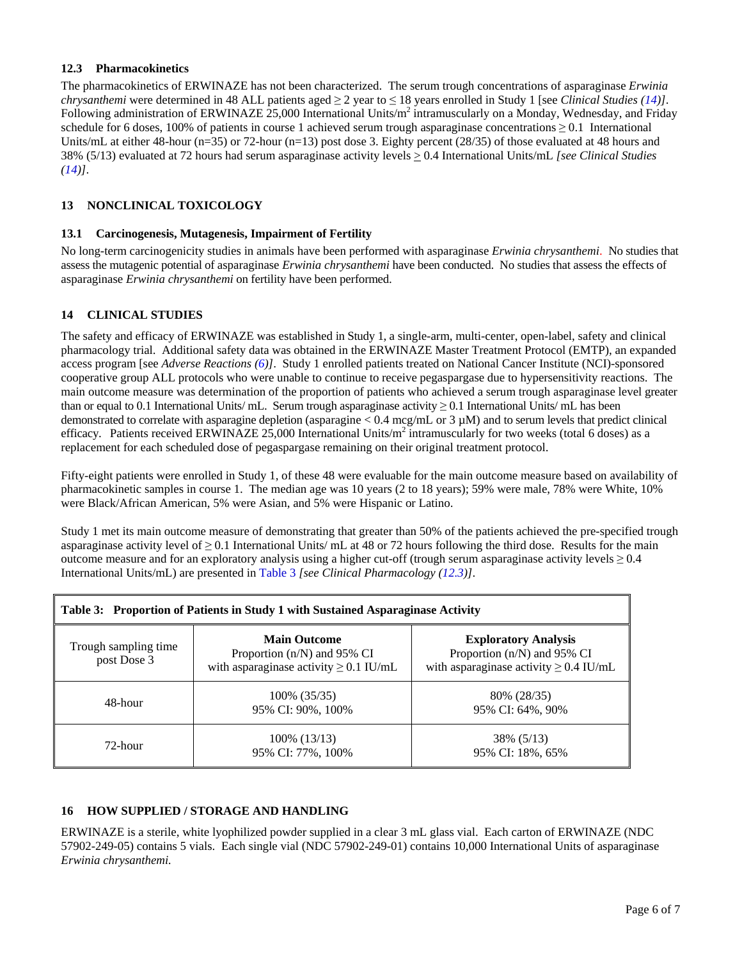# <span id="page-5-3"></span><span id="page-5-0"></span>**12.3 Pharmacokinetics**

The pharmacokinetics of ERWINAZE has not been characterized. The serum trough concentrations of asparaginase *Erwinia chrysanthemi* were determined in 48 ALL patients aged ≥ 2 year to ≤ 18 years enrolled in Study 1 [see *Clinical Studies [\(14](#page-5-1))]*. Following administration of ERWINAZE 25,000 International Units/ $m^2$  intramuscularly on a Monday, Wednesday, and Friday schedule for 6 doses, 100% of patients in course 1 achieved serum trough asparaginase concentrations  $\geq 0.1$  International Units/mL at either 48-hour (n=35) or 72-hour (n=13) post dose 3. Eighty percent (28/35) of those evaluated at 48 hours and 38% (5/13) evaluated at 72 hours had serum asparaginase activity levels > 0.4 International Units/mL *[see Clinical Studies ([14\)](#page-5-1)]*.

# **13 NONCLINICAL TOXICOLOGY**

### **13.1 Carcinogenesis, Mutagenesis, Impairment of Fertility**

No long-term carcinogenicity studies in animals have been performed with asparaginase *Erwinia chrysanthemi*. No studies that assess the mutagenic potential of asparaginase *Erwinia chrysanthemi* have been conducted. No studies that assess the effects of asparaginase *Erwinia chrysanthemi* on fertility have been performed.

# <span id="page-5-1"></span>**14 CLINICAL STUDIES**

The safety and efficacy of ERWINAZE was established in Study 1, a single-arm, multi-center, open-label, safety and clinical pharmacology trial. Additional safety data was obtained in the ERWINAZE Master Treatment Protocol (EMTP), an expanded access program [see *Adverse Reactions [\(6](#page-2-6))]*. Study 1 enrolled patients treated on National Cancer Institute (NCI)-sponsored cooperative group ALL protocols who were unable to continue to receive pegaspargase due to hypersensitivity reactions. The main outcome measure was determination of the proportion of patients who achieved a serum trough asparaginase level greater than or equal to 0.1 International Units/ mL. Serum trough asparaginase activity  $\geq$  0.1 International Units/ mL has been demonstrated to correlate with asparagine depletion (asparagine  $< 0.4$  mcg/mL or 3  $\mu$ M) and to serum levels that predict clinical efficacy. Patients received ERWINAZE 25,000 International Units/ $m^2$  intramuscularly for two weeks (total 6 doses) as a replacement for each scheduled dose of pegaspargase remaining on their original treatment protocol.

Fifty-eight patients were enrolled in Study 1, of these 48 were evaluable for the main outcome measure based on availability of pharmacokinetic samples in course 1. The median age was 10 years (2 to 18 years); 59% were male, 78% were White, 10% were Black/African American, 5% were Asian, and 5% were Hispanic or Latino.

Study 1 met its main outcome measure of demonstrating that greater than 50% of the patients achieved the pre-specified trough asparaginase activity level of  $\geq 0.1$  International Units/ mL at 48 or 72 hours following the third dose. Results for the main outcome measure and for an exploratory analysis using a higher cut-off (trough serum asparaginase activity levels  $\geq 0.4$ ) International Units/mL) are presented in [Table 3](#page-5-2) *[see Clinical Pharmacology [\(12.3\)](#page-5-3)]*.

<span id="page-5-2"></span>

| Table 3: Proportion of Patients in Study 1 with Sustained Asparaginase Activity |                                                                                                     |                                                                                                           |  |  |
|---------------------------------------------------------------------------------|-----------------------------------------------------------------------------------------------------|-----------------------------------------------------------------------------------------------------------|--|--|
| Trough sampling time<br>post Dose 3                                             | <b>Main Outcome</b><br>Proportion $(n/N)$ and 95% CI<br>with asparaginase activity $\geq 0.1$ IU/mL | <b>Exploratory Analysis</b><br>Proportion (n/N) and 95% CI<br>with asparaginase activity $\geq 0.4$ IU/mL |  |  |
| $48$ -hour                                                                      | 100% (35/35)<br>95% CI: 90%, 100%                                                                   | 80% (28/35)<br>95% CI: 64%, 90%                                                                           |  |  |
| $72$ -hour                                                                      | $100\%$ (13/13)<br>95% CI: 77%, 100%                                                                | 38% (5/13)<br>95% CI: 18%, 65%                                                                            |  |  |

# **16 HOW SUPPLIED / STORAGE AND HANDLING**

ERWINAZE is a sterile, white lyophilized powder supplied in a clear 3 mL glass vial. Each carton of ERWINAZE (NDC 57902-249-05) contains 5 vials. Each single vial (NDC 57902-249-01) contains 10,000 International Units of asparaginase *Erwinia chrysanthemi.*